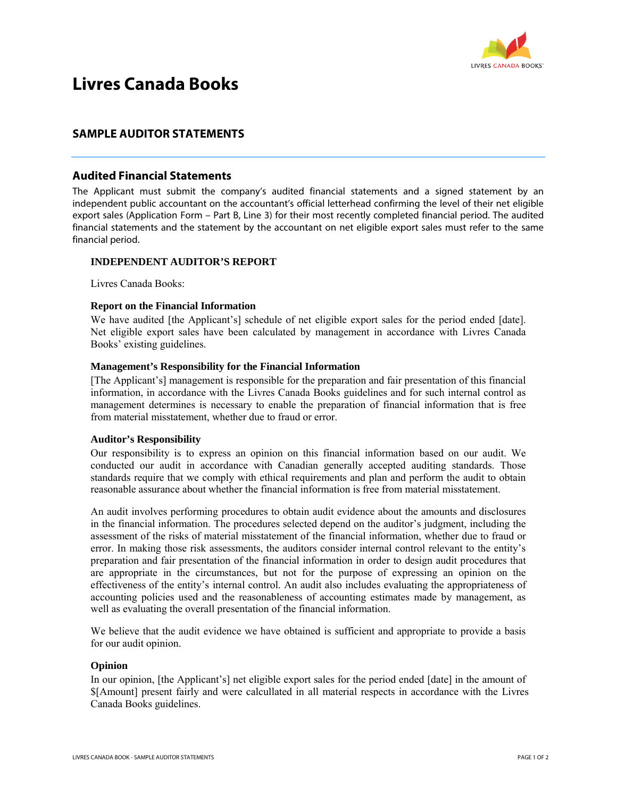

# **Livres Canada Books**

# **SAMPLE AUDITOR STATEMENTS**

## **Audited Financial Statements**

The Applicant must submit the company's audited financial statements and a signed statement by an independent public accountant on the accountant's official letterhead confirming the level of their net eligible export sales (Application Form – Part B, Line 3) for their most recently completed financial period. The audited financial statements and the statement by the accountant on net eligible export sales must refer to the same financial period.

## **INDEPENDENT AUDITOR'S REPORT**

Livres Canada Books:

#### **Report on the Financial Information**

We have audited [the Applicant's] schedule of net eligible export sales for the period ended [date]. Net eligible export sales have been calculated by management in accordance with Livres Canada Books' existing guidelines.

#### **Management's Responsibility for the Financial Information**

[The Applicant's] management is responsible for the preparation and fair presentation of this financial information, in accordance with the Livres Canada Books guidelines and for such internal control as management determines is necessary to enable the preparation of financial information that is free from material misstatement, whether due to fraud or error.

#### **Auditor's Responsibility**

Our responsibility is to express an opinion on this financial information based on our audit. We conducted our audit in accordance with Canadian generally accepted auditing standards. Those standards require that we comply with ethical requirements and plan and perform the audit to obtain reasonable assurance about whether the financial information is free from material misstatement.

An audit involves performing procedures to obtain audit evidence about the amounts and disclosures in the financial information. The procedures selected depend on the auditor's judgment, including the assessment of the risks of material misstatement of the financial information, whether due to fraud or error. In making those risk assessments, the auditors consider internal control relevant to the entity's preparation and fair presentation of the financial information in order to design audit procedures that are appropriate in the circumstances, but not for the purpose of expressing an opinion on the effectiveness of the entity's internal control. An audit also includes evaluating the appropriateness of accounting policies used and the reasonableness of accounting estimates made by management, as well as evaluating the overall presentation of the financial information.

We believe that the audit evidence we have obtained is sufficient and appropriate to provide a basis for our audit opinion.

#### **Opinion**

In our opinion, [the Applicant's] net eligible export sales for the period ended [date] in the amount of \$[Amount] present fairly and were calcullated in all material respects in accordance with the Livres Canada Books guidelines.